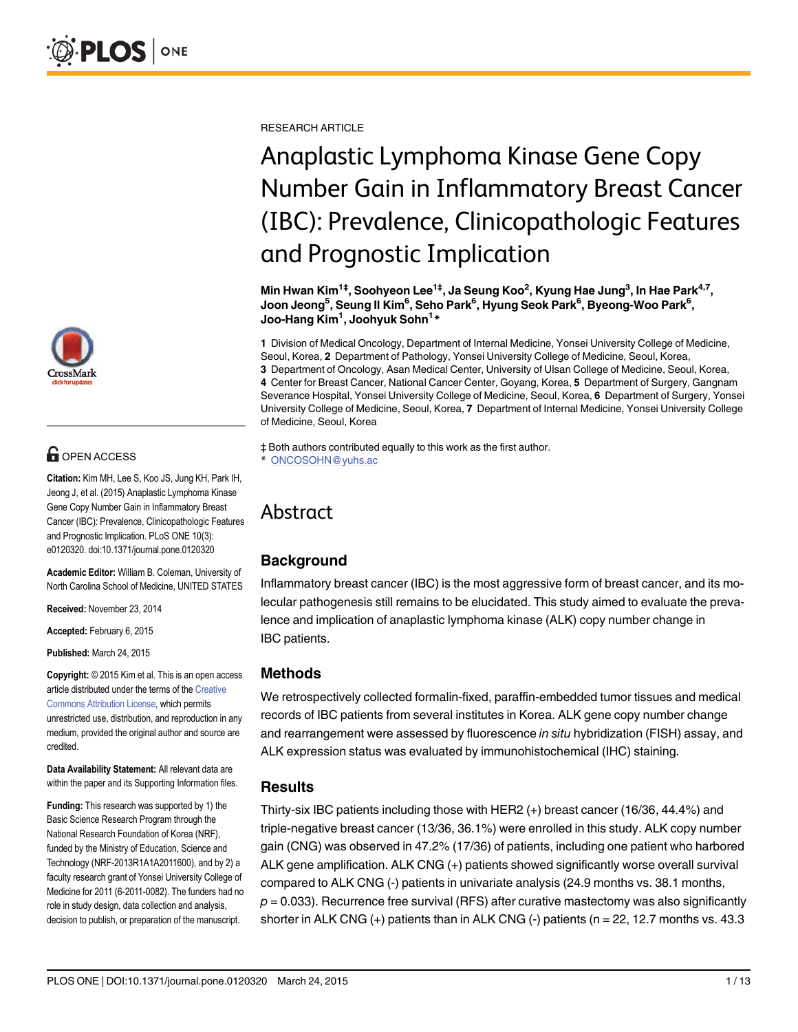

# **OPEN ACCESS**

Citation: Kim MH, Lee S, Koo JS, Jung KH, Park IH, Jeong J, et al. (2015) Anaplastic Lymphoma Kinase Gene Copy Number Gain in Inflammatory Breast Cancer (IBC): Prevalence, Clinicopathologic Features and Prognostic Implication. PLoS ONE 10(3): e0120320. doi:10.1371/journal.pone.0120320

Academic Editor: William B. Coleman, University of North Carolina School of Medicine, UNITED STATES

Received: November 23, 2014

Accepted: February 6, 2015

Published: March 24, 2015

Copyright: © 2015 Kim et al. This is an open access article distributed under the terms of the [Creative](http://creativecommons.org/licenses/by/4.0/) [Commons Attribution License](http://creativecommons.org/licenses/by/4.0/), which permits unrestricted use, distribution, and reproduction in any medium, provided the original author and source are credited.

Data Availability Statement: All relevant data are within the paper and its Supporting Information files.

Funding: This research was supported by 1) the Basic Science Research Program through the National Research Foundation of Korea (NRF), funded by the Ministry of Education, Science and Technology (NRF-2013R1A1A2011600), and by 2) a faculty research grant of Yonsei University College of Medicine for 2011 (6-2011-0082). The funders had no role in study design, data collection and analysis, decision to publish, or preparation of the manuscript.

RESEARCH ARTICLE

# Anaplastic Lymphoma Kinase Gene Copy Number Gain in Inflammatory Breast Cancer (IBC): Prevalence, Clinicopathologic Features and Prognostic Implication

Min Hwan Kim<sup>1‡</sup>, Soohyeon Lee<sup>1‡</sup>, Ja Seung Koo<sup>2</sup>, Kyung Hae Jung<sup>3</sup>, In Hae Park<sup>4,7</sup>, Joon Jeong<sup>5</sup>, Seung II Kim<sup>6</sup>, Seho Park<sup>6</sup>, Hyung Seok Park<sup>6</sup>, Byeong-Woo Park<sup>6</sup>, Joo-Hang Kim<sup>1</sup>, Joohyuk Sohn<sup>1</sup>\*

1 Division of Medical Oncology, Department of Internal Medicine, Yonsei University College of Medicine, Seoul, Korea, 2 Department of Pathology, Yonsei University College of Medicine, Seoul, Korea, 3 Department of Oncology, Asan Medical Center, University of Ulsan College of Medicine, Seoul, Korea, 4 Center for Breast Cancer, National Cancer Center, Goyang, Korea, 5 Department of Surgery, Gangnam Severance Hospital, Yonsei University College of Medicine, Seoul, Korea, 6 Department of Surgery, Yonsei University College of Medicine, Seoul, Korea, 7 Department of Internal Medicine, Yonsei University College of Medicine, Seoul, Korea

‡ Both authors contributed equally to this work as the first author. ONCOSOHN@yuhs.ac

## Abstract

## **Background**

Inflammatory breast cancer (IBC) is the most aggressive form of breast cancer, and its molecular pathogenesis still remains to be elucidated. This study aimed to evaluate the prevalence and implication of anaplastic lymphoma kinase (ALK) copy number change in IBC patients.

#### Methods

We retrospectively collected formalin-fixed, paraffin-embedded tumor tissues and medical records of IBC patients from several institutes in Korea. ALK gene copy number change and rearrangement were assessed by fluorescence in situ hybridization (FISH) assay, and ALK expression status was evaluated by immunohistochemical (IHC) staining.

#### Results

Thirty-six IBC patients including those with HER2 (+) breast cancer (16/36, 44.4%) and triple-negative breast cancer (13/36, 36.1%) were enrolled in this study. ALK copy number gain (CNG) was observed in 47.2% (17/36) of patients, including one patient who harbored ALK gene amplification. ALK CNG (+) patients showed significantly worse overall survival compared to ALK CNG (-) patients in univariate analysis (24.9 months vs. 38.1 months,  $p = 0.033$ ). Recurrence free survival (RFS) after curative mastectomy was also significantly shorter in ALK CNG  $(+)$  patients than in ALK CNG  $(-)$  patients (n = 22, 12.7 months vs. 43.3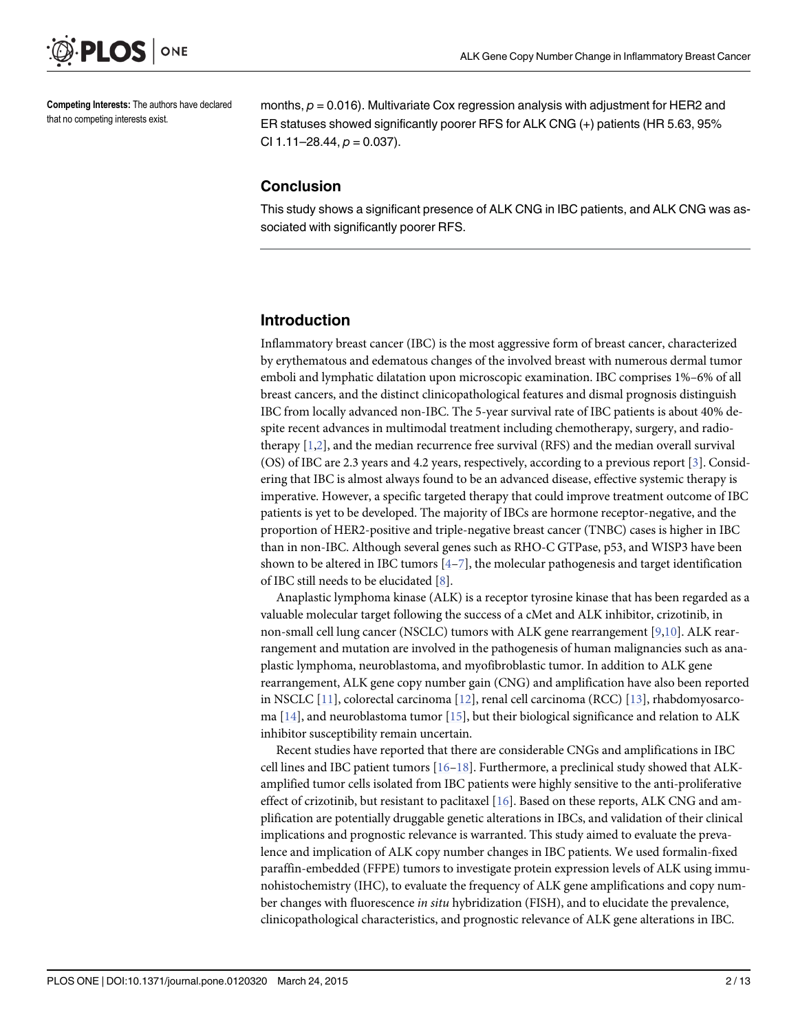<span id="page-1-0"></span>

Competing Interests: The authors have declared that no competing interests exist.

months,  $p = 0.016$ ). Multivariate Cox regression analysis with adjustment for HER2 and ER statuses showed significantly poorer RFS for ALK CNG (+) patients (HR 5.63, 95% CI 1.11–28.44,  $p = 0.037$ ).

#### Conclusion

This study shows a significant presence of ALK CNG in IBC patients, and ALK CNG was associated with significantly poorer RFS.

#### Introduction

Inflammatory breast cancer (IBC) is the most aggressive form of breast cancer, characterized by erythematous and edematous changes of the involved breast with numerous dermal tumor emboli and lymphatic dilatation upon microscopic examination. IBC comprises 1%–6% of all breast cancers, and the distinct clinicopathological features and dismal prognosis distinguish IBC from locally advanced non-IBC. The 5-year survival rate of IBC patients is about 40% despite recent advances in multimodal treatment including chemotherapy, surgery, and radiotherapy  $[1,2]$  $[1,2]$ , and the median recurrence free survival (RFS) and the median overall survival (OS) of IBC are 2.3 years and 4.2 years, respectively, according to a previous report  $\lbrack 3 \rbrack$ . Considering that IBC is almost always found to be an advanced disease, effective systemic therapy is imperative. However, a specific targeted therapy that could improve treatment outcome of IBC patients is yet to be developed. The majority of IBCs are hormone receptor-negative, and the proportion of HER2-positive and triple-negative breast cancer (TNBC) cases is higher in IBC than in non-IBC. Although several genes such as RHO-C GTPase, p53, and WISP3 have been shown to be altered in IBC tumors  $[4-7]$  $[4-7]$  $[4-7]$  $[4-7]$  $[4-7]$ , the molecular pathogenesis and target identification of IBC still needs to be elucidated [\[8](#page-11-0)].

Anaplastic lymphoma kinase (ALK) is a receptor tyrosine kinase that has been regarded as a valuable molecular target following the success of a cMet and ALK inhibitor, crizotinib, in non-small cell lung cancer (NSCLC) tumors with ALK gene rearrangement [[9,10](#page-11-0)]. ALK rearrangement and mutation are involved in the pathogenesis of human malignancies such as anaplastic lymphoma, neuroblastoma, and myofibroblastic tumor. In addition to ALK gene rearrangement, ALK gene copy number gain (CNG) and amplification have also been reported in NSCLC [\[11](#page-11-0)], colorectal carcinoma [\[12\]](#page-11-0), renal cell carcinoma (RCC) [\[13](#page-11-0)], rhabdomyosarcoma  $[14]$ , and neuroblastoma tumor  $[15]$ , but their biological significance and relation to ALK inhibitor susceptibility remain uncertain.

Recent studies have reported that there are considerable CNGs and amplifications in IBC cell lines and IBC patient tumors  $[16–18]$  $[16–18]$  $[16–18]$  $[16–18]$ . Furthermore, a preclinical study showed that ALKamplified tumor cells isolated from IBC patients were highly sensitive to the anti-proliferative effect of crizotinib, but resistant to paclitaxel [\[16\]](#page-11-0). Based on these reports, ALK CNG and amplification are potentially druggable genetic alterations in IBCs, and validation of their clinical implications and prognostic relevance is warranted. This study aimed to evaluate the prevalence and implication of ALK copy number changes in IBC patients. We used formalin-fixed paraffin-embedded (FFPE) tumors to investigate protein expression levels of ALK using immunohistochemistry (IHC), to evaluate the frequency of ALK gene amplifications and copy number changes with fluorescence in situ hybridization (FISH), and to elucidate the prevalence, clinicopathological characteristics, and prognostic relevance of ALK gene alterations in IBC.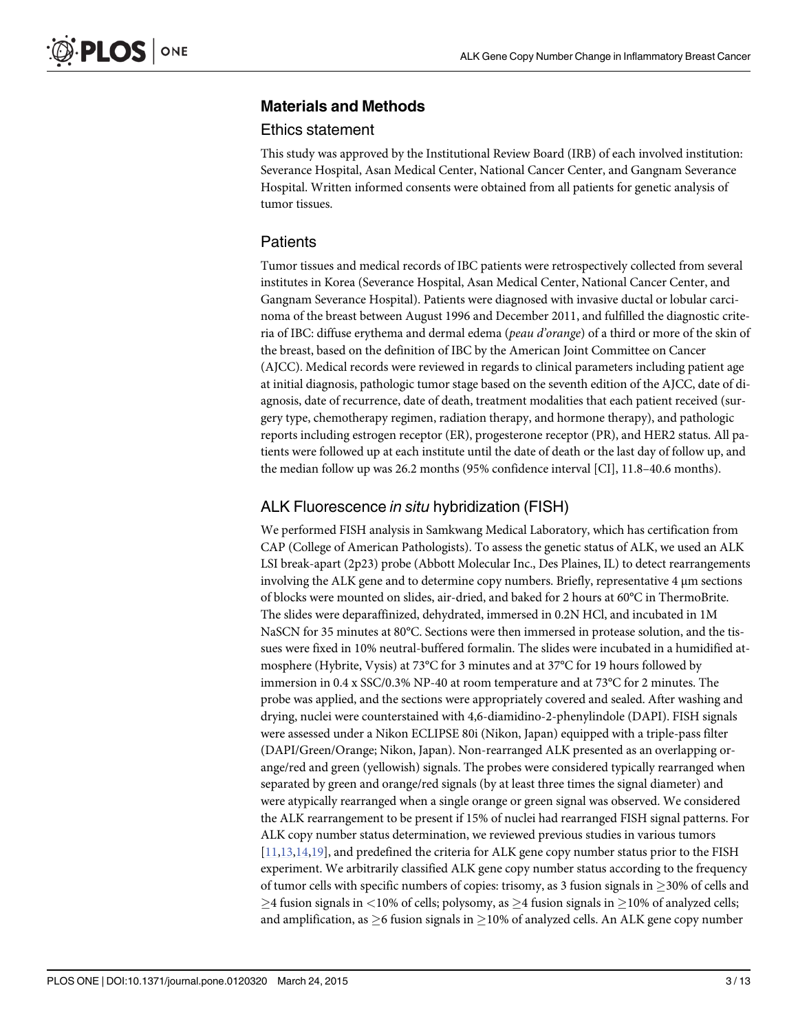#### <span id="page-2-0"></span>Materials and Methods

#### Ethics statement

This study was approved by the Institutional Review Board (IRB) of each involved institution: Severance Hospital, Asan Medical Center, National Cancer Center, and Gangnam Severance Hospital. Written informed consents were obtained from all patients for genetic analysis of tumor tissues.

#### **Patients**

Tumor tissues and medical records of IBC patients were retrospectively collected from several institutes in Korea (Severance Hospital, Asan Medical Center, National Cancer Center, and Gangnam Severance Hospital). Patients were diagnosed with invasive ductal or lobular carcinoma of the breast between August 1996 and December 2011, and fulfilled the diagnostic criteria of IBC: diffuse erythema and dermal edema (peau d'orange) of a third or more of the skin of the breast, based on the definition of IBC by the American Joint Committee on Cancer (AJCC). Medical records were reviewed in regards to clinical parameters including patient age at initial diagnosis, pathologic tumor stage based on the seventh edition of the AJCC, date of diagnosis, date of recurrence, date of death, treatment modalities that each patient received (surgery type, chemotherapy regimen, radiation therapy, and hormone therapy), and pathologic reports including estrogen receptor (ER), progesterone receptor (PR), and HER2 status. All patients were followed up at each institute until the date of death or the last day of follow up, and the median follow up was 26.2 months (95% confidence interval [CI], 11.8–40.6 months).

## ALK Fluorescence in situ hybridization (FISH)

We performed FISH analysis in Samkwang Medical Laboratory, which has certification from CAP (College of American Pathologists). To assess the genetic status of ALK, we used an ALK LSI break-apart (2p23) probe (Abbott Molecular Inc., Des Plaines, IL) to detect rearrangements involving the ALK gene and to determine copy numbers. Briefly, representative 4 μm sections of blocks were mounted on slides, air-dried, and baked for 2 hours at 60°C in ThermoBrite. The slides were deparaffinized, dehydrated, immersed in 0.2N HCl, and incubated in 1M NaSCN for 35 minutes at 80°C. Sections were then immersed in protease solution, and the tissues were fixed in 10% neutral-buffered formalin. The slides were incubated in a humidified atmosphere (Hybrite, Vysis) at 73°C for 3 minutes and at 37°C for 19 hours followed by immersion in 0.4 x SSC/0.3% NP-40 at room temperature and at 73°C for 2 minutes. The probe was applied, and the sections were appropriately covered and sealed. After washing and drying, nuclei were counterstained with 4,6-diamidino-2-phenylindole (DAPI). FISH signals were assessed under a Nikon ECLIPSE 80i (Nikon, Japan) equipped with a triple-pass filter (DAPI/Green/Orange; Nikon, Japan). Non-rearranged ALK presented as an overlapping orange/red and green (yellowish) signals. The probes were considered typically rearranged when separated by green and orange/red signals (by at least three times the signal diameter) and were atypically rearranged when a single orange or green signal was observed. We considered the ALK rearrangement to be present if 15% of nuclei had rearranged FISH signal patterns. For ALK copy number status determination, we reviewed previous studies in various tumors [\[11,13,14,19](#page-11-0)], and predefined the criteria for ALK gene copy number status prior to the FISH experiment. We arbitrarily classified ALK gene copy number status according to the frequency of tumor cells with specific numbers of copies: trisomy, as 3 fusion signals in  $\geq$  30% of cells and  $\geq$ 4 fusion signals in <10% of cells; polysomy, as  $\geq$ 4 fusion signals in  $\geq$ 10% of analyzed cells; and amplification, as  $\geq 6$  fusion signals in  $\geq 10\%$  of analyzed cells. An ALK gene copy number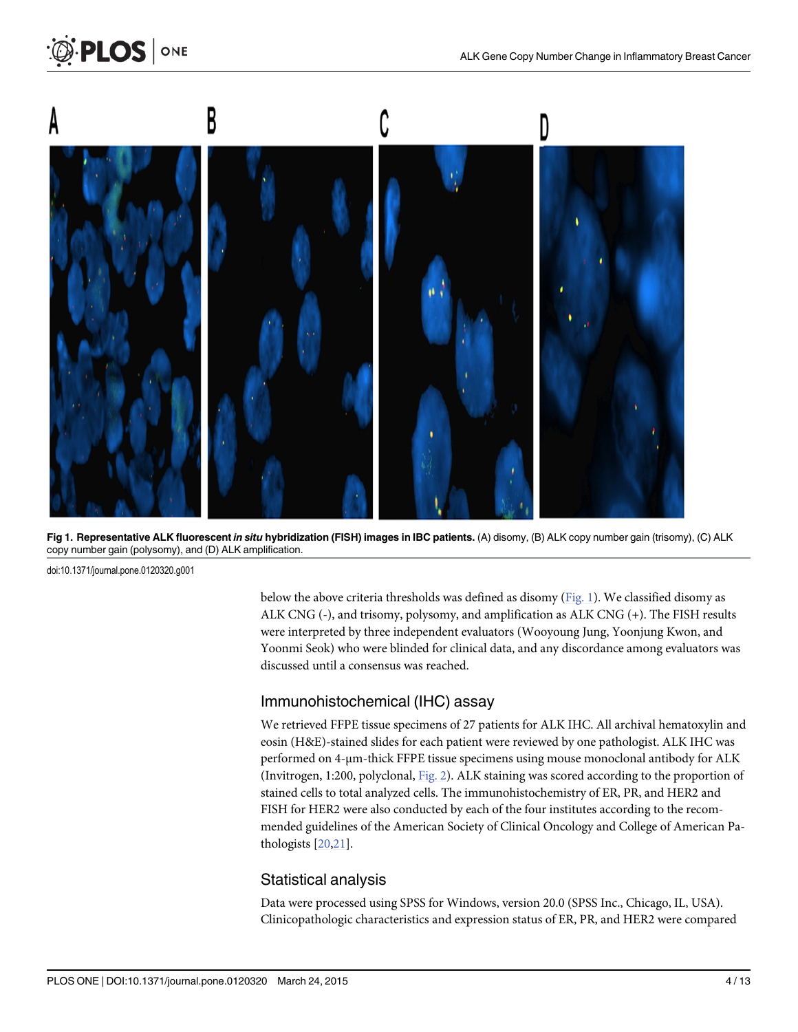<span id="page-3-0"></span>



doi:10.1371/journal.pone.0120320.g001

PLOS ONE

below the above criteria thresholds was defined as disomy (Fig. 1). We classified disomy as ALK CNG (-), and trisomy, polysomy, and amplification as ALK CNG (+). The FISH results were interpreted by three independent evaluators (Wooyoung Jung, Yoonjung Kwon, and Yoonmi Seok) who were blinded for clinical data, and any discordance among evaluators was discussed until a consensus was reached.

#### Immunohistochemical (IHC) assay

We retrieved FFPE tissue specimens of 27 patients for ALK IHC. All archival hematoxylin and eosin (H&E)-stained slides for each patient were reviewed by one pathologist. ALK IHC was performed on 4-μm-thick FFPE tissue specimens using mouse monoclonal antibody for ALK (Invitrogen, 1:200, polyclonal, [Fig. 2\)](#page-4-0). ALK staining was scored according to the proportion of stained cells to total analyzed cells. The immunohistochemistry of ER, PR, and HER2 and FISH for HER2 were also conducted by each of the four institutes according to the recommended guidelines of the American Society of Clinical Oncology and College of American Pathologists  $[20,21]$  $[20,21]$  $[20,21]$ .

#### Statistical analysis

Data were processed using SPSS for Windows, version 20.0 (SPSS Inc., Chicago, IL, USA). Clinicopathologic characteristics and expression status of ER, PR, and HER2 were compared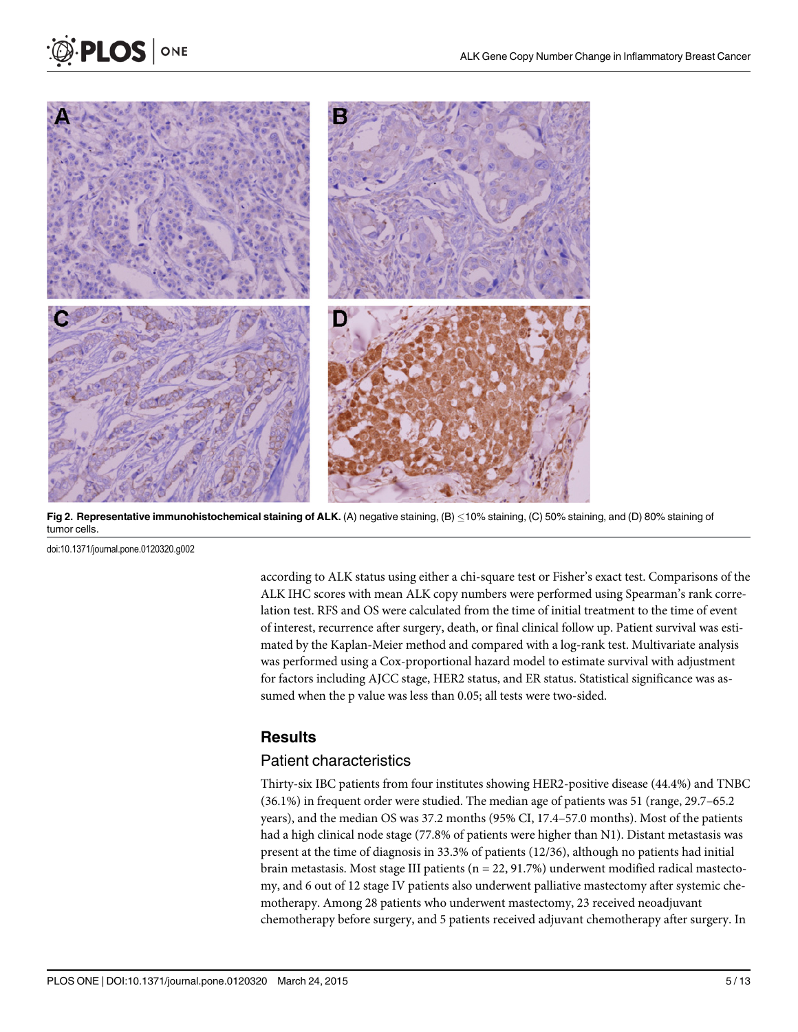

[Fig 2. R](#page-3-0)epresentative immunohistochemical staining of ALK. (A) negative staining, (B)  $\leq$ 10% staining, (C) 50% staining, and (D) 80% staining of tumor cells.

doi:10.1371/journal.pone.0120320.g002

<span id="page-4-0"></span>**PLOS** ONE

according to ALK status using either a chi-square test or Fisher's exact test. Comparisons of the ALK IHC scores with mean ALK copy numbers were performed using Spearman's rank correlation test. RFS and OS were calculated from the time of initial treatment to the time of event of interest, recurrence after surgery, death, or final clinical follow up. Patient survival was estimated by the Kaplan-Meier method and compared with a log-rank test. Multivariate analysis was performed using a Cox-proportional hazard model to estimate survival with adjustment for factors including AJCC stage, HER2 status, and ER status. Statistical significance was assumed when the p value was less than 0.05; all tests were two-sided.

#### **Results**

#### Patient characteristics

Thirty-six IBC patients from four institutes showing HER2-positive disease (44.4%) and TNBC (36.1%) in frequent order were studied. The median age of patients was 51 (range, 29.7–65.2 years), and the median OS was 37.2 months (95% CI, 17.4–57.0 months). Most of the patients had a high clinical node stage (77.8% of patients were higher than N1). Distant metastasis was present at the time of diagnosis in 33.3% of patients (12/36), although no patients had initial brain metastasis. Most stage III patients ( $n = 22, 91.7\%$ ) underwent modified radical mastectomy, and 6 out of 12 stage IV patients also underwent palliative mastectomy after systemic chemotherapy. Among 28 patients who underwent mastectomy, 23 received neoadjuvant chemotherapy before surgery, and 5 patients received adjuvant chemotherapy after surgery. In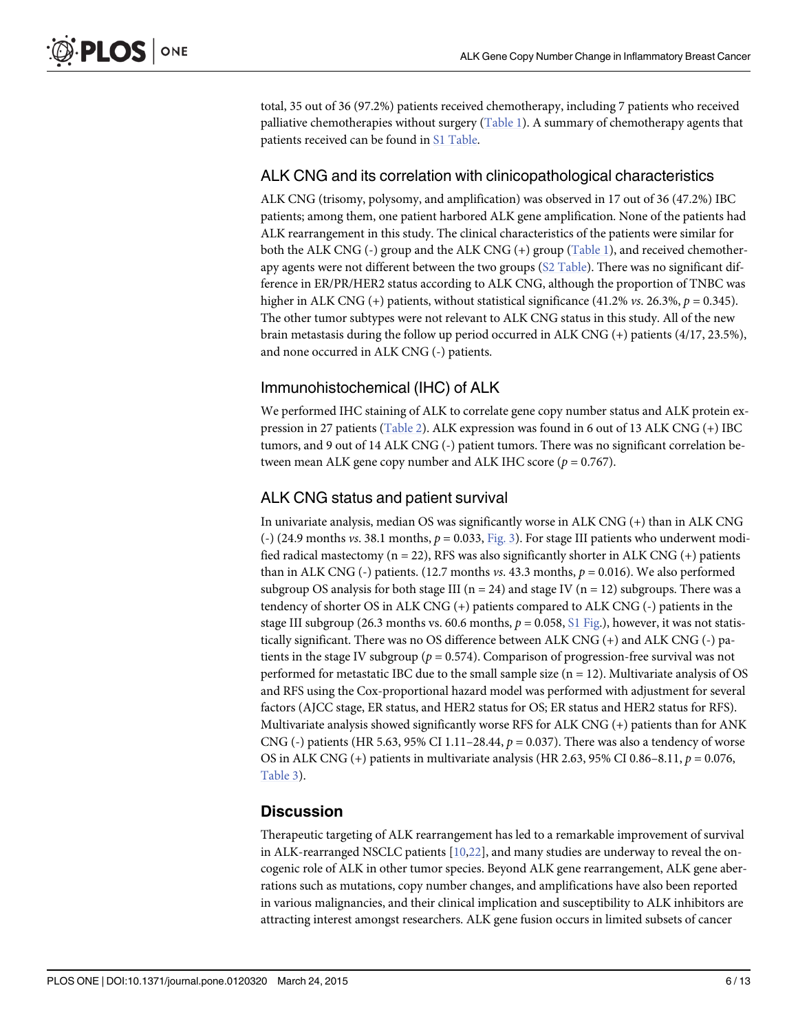<span id="page-5-0"></span>total, 35 out of 36 (97.2%) patients received chemotherapy, including 7 patients who received palliative chemotherapies without surgery ([Table 1\)](#page-6-0). A summary of chemotherapy agents that patients received can be found in [S1 Table](#page-10-0).

#### ALK CNG and its correlation with clinicopathological characteristics

ALK CNG (trisomy, polysomy, and amplification) was observed in 17 out of 36 (47.2%) IBC patients; among them, one patient harbored ALK gene amplification. None of the patients had ALK rearrangement in this study. The clinical characteristics of the patients were similar for both the ALK CNG (-) group and the ALK CNG (+) group [\(Table 1\)](#page-6-0), and received chemotherapy agents were not different between the two groups  $(S2$  Table). There was no significant difference in ER/PR/HER2 status according to ALK CNG, although the proportion of TNBC was higher in ALK CNG (+) patients, without statistical significance (41.2% vs. 26.3%,  $p = 0.345$ ). The other tumor subtypes were not relevant to ALK CNG status in this study. All of the new brain metastasis during the follow up period occurred in ALK CNG (+) patients (4/17, 23.5%), and none occurred in ALK CNG (-) patients.

#### Immunohistochemical (IHC) of ALK

We performed IHC staining of ALK to correlate gene copy number status and ALK protein expression in 27 patients ([Table 2\)](#page-7-0). ALK expression was found in 6 out of 13 ALK CNG (+) IBC tumors, and 9 out of 14 ALK CNG (-) patient tumors. There was no significant correlation between mean ALK gene copy number and ALK IHC score ( $p = 0.767$ ).

#### ALK CNG status and patient survival

In univariate analysis, median OS was significantly worse in ALK CNG (+) than in ALK CNG (-) (24.9 months vs. 38.1 months,  $p = 0.033$ , [Fig. 3](#page-8-0)). For stage III patients who underwent modified radical mastectomy ( $n = 22$ ), RFS was also significantly shorter in ALK CNG (+) patients than in ALK CNG (-) patients. (12.7 months  $vs.$  43.3 months,  $p = 0.016$ ). We also performed subgroup OS analysis for both stage III ( $n = 24$ ) and stage IV ( $n = 12$ ) subgroups. There was a tendency of shorter OS in ALK CNG (+) patients compared to ALK CNG (-) patients in the stage III subgroup (26.3 months vs. 60.6 months,  $p = 0.058$ ,  $\overline{S1}$  Fig.), however, it was not statistically significant. There was no OS difference between ALK CNG (+) and ALK CNG (-) patients in the stage IV subgroup ( $p = 0.574$ ). Comparison of progression-free survival was not performed for metastatic IBC due to the small sample size  $(n = 12)$ . Multivariate analysis of OS and RFS using the Cox-proportional hazard model was performed with adjustment for several factors (AJCC stage, ER status, and HER2 status for OS; ER status and HER2 status for RFS). Multivariate analysis showed significantly worse RFS for ALK CNG (+) patients than for ANK CNG (-) patients (HR 5.63, 95% CI 1.11–28.44,  $p = 0.037$ ). There was also a tendency of worse OS in ALK CNG (+) patients in multivariate analysis (HR 2.63, 95% CI 0.86–8.11,  $p = 0.076$ , [Table 3](#page-8-0)).

#### **Discussion**

Therapeutic targeting of ALK rearrangement has led to a remarkable improvement of survival in ALK-rearranged NSCLC patients  $[10,22]$  $[10,22]$ , and many studies are underway to reveal the oncogenic role of ALK in other tumor species. Beyond ALK gene rearrangement, ALK gene aberrations such as mutations, copy number changes, and amplifications have also been reported in various malignancies, and their clinical implication and susceptibility to ALK inhibitors are attracting interest amongst researchers. ALK gene fusion occurs in limited subsets of cancer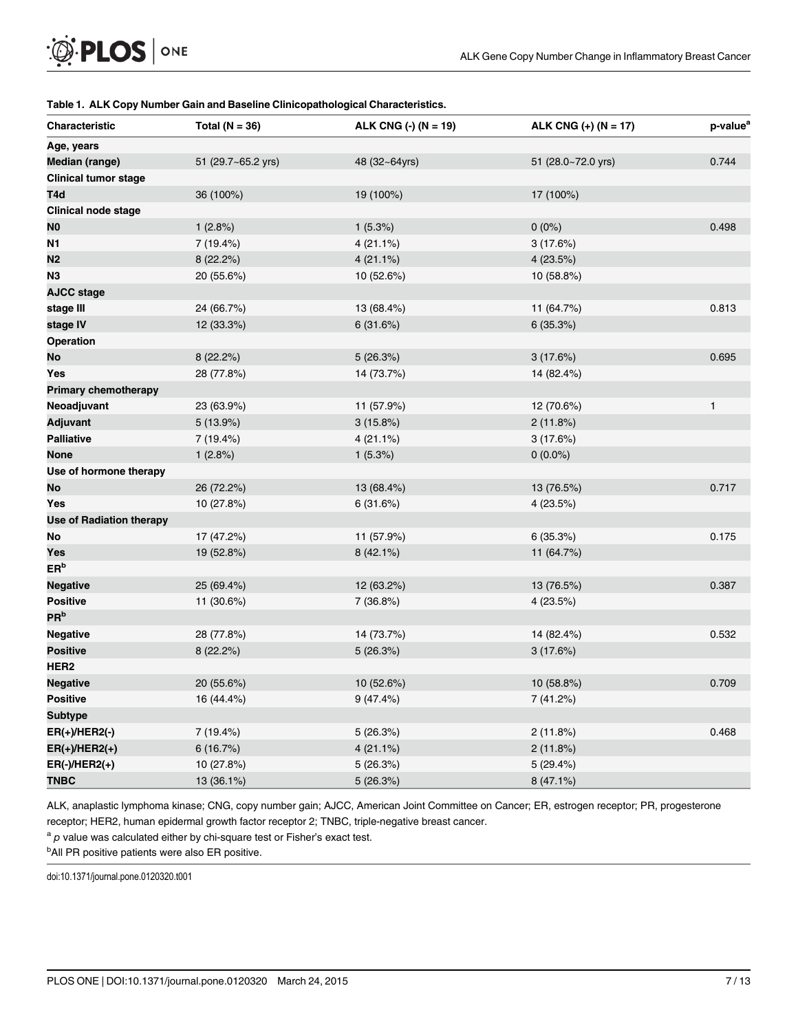<span id="page-6-0"></span>

| Characteristic                  | Total ( $N = 36$ ) | ALK CNG $(-)$ (N = 19) | ALK CNG $(+)$ (N = 17) | p-value <sup>a</sup> |
|---------------------------------|--------------------|------------------------|------------------------|----------------------|
| Age, years                      |                    |                        |                        |                      |
| Median (range)                  | 51 (29.7~65.2 yrs) | 48 (32~64yrs)          | 51 (28.0~72.0 yrs)     | 0.744                |
| <b>Clinical tumor stage</b>     |                    |                        |                        |                      |
| T4d                             | 36 (100%)          | 19 (100%)              | 17 (100%)              |                      |
| <b>Clinical node stage</b>      |                    |                        |                        |                      |
| N <sub>0</sub>                  | 1(2.8%)            | 1(5.3%)                | $0(0\%)$               | 0.498                |
| N1                              | 7 (19.4%)          | 4(21.1%)               | 3(17.6%)               |                      |
| N2                              | 8 (22.2%)          | 4(21.1%)               | 4(23.5%)               |                      |
| N3                              | 20 (55.6%)         | 10 (52.6%)             | 10 (58.8%)             |                      |
| <b>AJCC stage</b>               |                    |                        |                        |                      |
| stage III                       | 24 (66.7%)         | 13 (68.4%)             | 11 (64.7%)             | 0.813                |
| stage IV                        | 12 (33.3%)         | 6(31.6%)               | 6(35.3%)               |                      |
| <b>Operation</b>                |                    |                        |                        |                      |
| No                              | 8(22.2%)           | 5(26.3%)               | 3(17.6%)               | 0.695                |
| Yes                             | 28 (77.8%)         | 14 (73.7%)             | 14 (82.4%)             |                      |
| <b>Primary chemotherapy</b>     |                    |                        |                        |                      |
| Neoadjuvant                     | 23 (63.9%)         | 11 (57.9%)             | 12 (70.6%)             | $\mathbf{1}$         |
| <b>Adjuvant</b>                 | 5(13.9%)           | 3(15.8%)               | 2(11.8%)               |                      |
| <b>Palliative</b>               | 7 (19.4%)          | 4 (21.1%)              | 3(17.6%)               |                      |
| None                            | 1(2.8%)            | 1(5.3%)                | $0(0.0\%)$             |                      |
| Use of hormone therapy          |                    |                        |                        |                      |
| No                              | 26 (72.2%)         | 13 (68.4%)             | 13 (76.5%)             | 0.717                |
| Yes                             | 10 (27.8%)         | 6(31.6%)               | 4 (23.5%)              |                      |
| <b>Use of Radiation therapy</b> |                    |                        |                        |                      |
| No                              | 17 (47.2%)         | 11 (57.9%)             | 6(35.3%)               | 0.175                |
| Yes                             | 19 (52.8%)         | 8 (42.1%)              | 11 (64.7%)             |                      |
| $ER^b$                          |                    |                        |                        |                      |
| <b>Negative</b>                 | 25 (69.4%)         | 12 (63.2%)             | 13 (76.5%)             | 0.387                |
| <b>Positive</b>                 | 11 (30.6%)         | 7(36.8%)               | 4 (23.5%)              |                      |
| <b>PR</b> b                     |                    |                        |                        |                      |
| <b>Negative</b>                 | 28 (77.8%)         | 14 (73.7%)             | 14 (82.4%)             | 0.532                |
| Positive                        | 8 (22.2%)          | 5(26.3%)               | 3(17.6%)               |                      |
| HER <sub>2</sub>                |                    |                        |                        |                      |
| Negative                        | 20 (55.6%)         | 10 (52.6%)             | 10 (58.8%)             | 0.709                |
| Positive                        | 16 (44.4%)         | 9(47.4%)               | 7 (41.2%)              |                      |
| <b>Subtype</b>                  |                    |                        |                        |                      |
| $ER(+)/HER2(-)$                 | 7 (19.4%)          | 5 (26.3%)              | 2(11.8%)               | 0.468                |
| $ER(+)/HER2(+)$                 | 6(16.7%)           | 4(21.1%)               | 2(11.8%)               |                      |
| ER(-)/HER2(+)                   | 10 (27.8%)         | 5(26.3%)               | 5 (29.4%)              |                      |
| <b>TNBC</b>                     | 13 (36.1%)         | 5(26.3%)               | $8(47.1\%)$            |                      |

#### [Table 1.](#page-5-0) ALK Copy Number Gain and Baseline Clinicopathological Characteristics.

ALK, anaplastic lymphoma kinase; CNG, copy number gain; AJCC, American Joint Committee on Cancer; ER, estrogen receptor; PR, progesterone receptor; HER2, human epidermal growth factor receptor 2; TNBC, triple-negative breast cancer.

 $a$  p value was calculated either by chi-square test or Fisher's exact test.

<sup>b</sup>All PR positive patients were also ER positive.

doi:10.1371/journal.pone.0120320.t001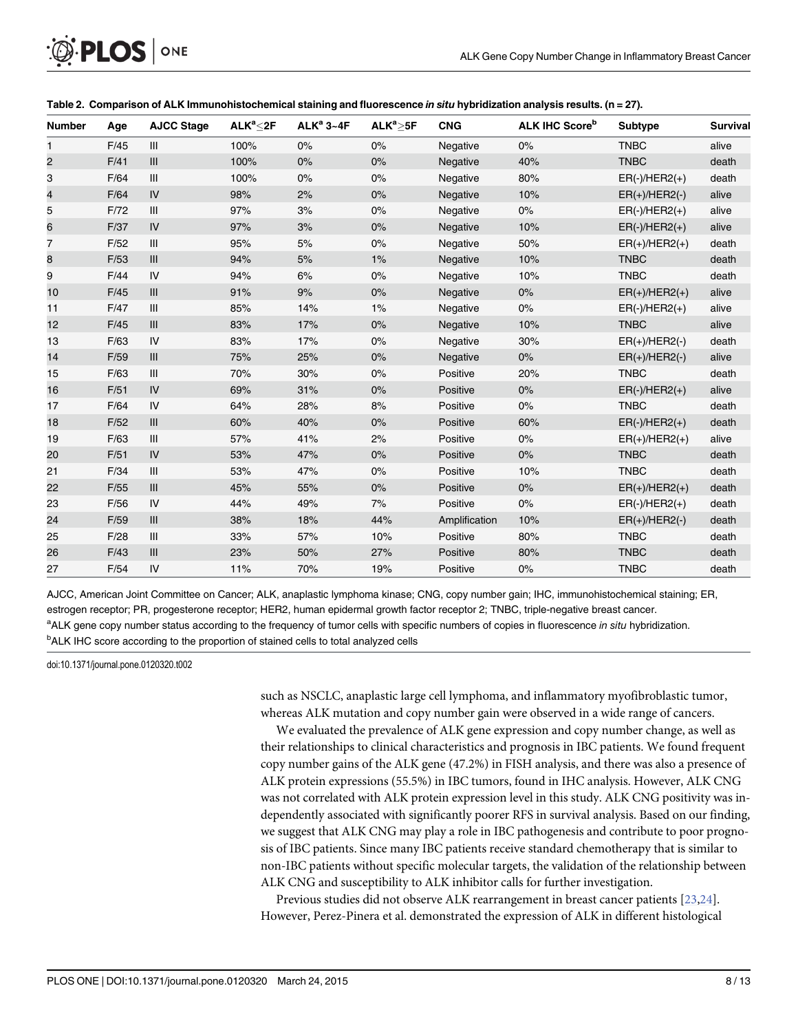| Number | Age  | <b>AJCC Stage</b> | $ALK^a \leq 2F$ | ALK <sup>a</sup> 3~4F | $ALK^a \geq 5F$ | <b>CNG</b>    | <b>ALK IHC Score</b> <sup>b</sup> | Subtype         | <b>Survival</b> |
|--------|------|-------------------|-----------------|-----------------------|-----------------|---------------|-----------------------------------|-----------------|-----------------|
| 1      | F/45 | Ш                 | 100%            | 0%                    | 0%              | Negative      | 0%                                | <b>TNBC</b>     | alive           |
| 2      | F/41 | III               | 100%            | 0%                    | 0%              | Negative      | 40%                               | <b>TNBC</b>     | death           |
| 3      | F/64 | III               | 100%            | 0%                    | 0%              | Negative      | 80%                               | $ER(-)/HER2(+)$ | death           |
| 4      | F/64 | IV                | 98%             | 2%                    | 0%              | Negative      | 10%                               | $ER(+)/HER2(-)$ | alive           |
| 5      | F/72 | III               | 97%             | 3%                    | 0%              | Negative      | 0%                                | $ER(-)/HER2(+)$ | alive           |
| 6      | F/37 | IV                | 97%             | 3%                    | 0%              | Negative      | 10%                               | $ER(-)/HER2(+)$ | alive           |
| 7      | F/52 | Ш                 | 95%             | 5%                    | 0%              | Negative      | 50%                               | $ER(+)/HER2(+)$ | death           |
| 8      | F/53 | III               | 94%             | 5%                    | 1%              | Negative      | 10%                               | <b>TNBC</b>     | death           |
| 9      | F/44 | IV                | 94%             | 6%                    | 0%              | Negative      | 10%                               | <b>TNBC</b>     | death           |
| 10     | F/45 | III               | 91%             | 9%                    | 0%              | Negative      | 0%                                | $ER(+)/HER2(+)$ | alive           |
| 11     | F/47 | III               | 85%             | 14%                   | $1\%$           | Negative      | 0%                                | $ER(-)/HER2(+)$ | alive           |
| 12     | F/45 | III               | 83%             | 17%                   | 0%              | Negative      | 10%                               | <b>TNBC</b>     | alive           |
| 13     | F/63 | IV                | 83%             | 17%                   | 0%              | Negative      | 30%                               | $ER(+)/HER2(-)$ | death           |
| 14     | F/59 | III               | 75%             | 25%                   | 0%              | Negative      | 0%                                | $ER(+)/HER2(-)$ | alive           |
| 15     | F/63 | III               | 70%             | 30%                   | 0%              | Positive      | 20%                               | <b>TNBC</b>     | death           |
| 16     | F/51 | IV                | 69%             | 31%                   | 0%              | Positive      | 0%                                | $ER(-)/HER2(+)$ | alive           |
| 17     | F/64 | IV                | 64%             | 28%                   | 8%              | Positive      | 0%                                | <b>TNBC</b>     | death           |
| 18     | F/52 | Ш                 | 60%             | 40%                   | 0%              | Positive      | 60%                               | $ER(-)/HER2(+)$ | death           |
| 19     | F/63 | III               | 57%             | 41%                   | 2%              | Positive      | 0%                                | $ER(+)/HER2(+)$ | alive           |
| 20     | F/51 | IV                | 53%             | 47%                   | 0%              | Positive      | 0%                                | <b>TNBC</b>     | death           |
| 21     | F/34 | III               | 53%             | 47%                   | 0%              | Positive      | 10%                               | <b>TNBC</b>     | death           |
| 22     | F/55 | III               | 45%             | 55%                   | 0%              | Positive      | 0%                                | $ER(+)/HER2(+)$ | death           |
| 23     | F/56 | IV                | 44%             | 49%                   | 7%              | Positive      | 0%                                | $ER(-)/HER2(+)$ | death           |
| 24     | F/59 | III               | 38%             | 18%                   | 44%             | Amplification | 10%                               | $ER(+)/HER2(-)$ | death           |
| 25     | F/28 | III               | 33%             | 57%                   | 10%             | Positive      | 80%                               | <b>TNBC</b>     | death           |
| 26     | F/43 | III               | 23%             | 50%                   | 27%             | Positive      | 80%                               | <b>TNBC</b>     | death           |
| 27     | F/54 | IV                | 11%             | 70%                   | 19%             | Positive      | 0%                                | <b>TNBC</b>     | death           |

[Table 2.](#page-5-0) Comparison of ALK Immunohistochemical staining and fluorescence in situ hybridization analysis results. ( $n = 27$ ).

AJCC, American Joint Committee on Cancer; ALK, anaplastic lymphoma kinase; CNG, copy number gain; IHC, immunohistochemical staining; ER, estrogen receptor; PR, progesterone receptor; HER2, human epidermal growth factor receptor 2; TNBC, triple-negative breast cancer. <sup>a</sup>ALK gene copy number status according to the frequency of tumor cells with specific numbers of copies in fluorescence in situ hybridization. <sup>b</sup>ALK IHC score according to the proportion of stained cells to total analyzed cells

doi:10.1371/journal.pone.0120320.t002

<span id="page-7-0"></span>PLOS ONE

such as NSCLC, anaplastic large cell lymphoma, and inflammatory myofibroblastic tumor, whereas ALK mutation and copy number gain were observed in a wide range of cancers.

We evaluated the prevalence of ALK gene expression and copy number change, as well as their relationships to clinical characteristics and prognosis in IBC patients. We found frequent copy number gains of the ALK gene (47.2%) in FISH analysis, and there was also a presence of ALK protein expressions (55.5%) in IBC tumors, found in IHC analysis. However, ALK CNG was not correlated with ALK protein expression level in this study. ALK CNG positivity was independently associated with significantly poorer RFS in survival analysis. Based on our finding, we suggest that ALK CNG may play a role in IBC pathogenesis and contribute to poor prognosis of IBC patients. Since many IBC patients receive standard chemotherapy that is similar to non-IBC patients without specific molecular targets, the validation of the relationship between ALK CNG and susceptibility to ALK inhibitor calls for further investigation.

Previous studies did not observe ALK rearrangement in breast cancer patients [\[23,24\]](#page-12-0). However, Perez-Pinera et al. demonstrated the expression of ALK in different histological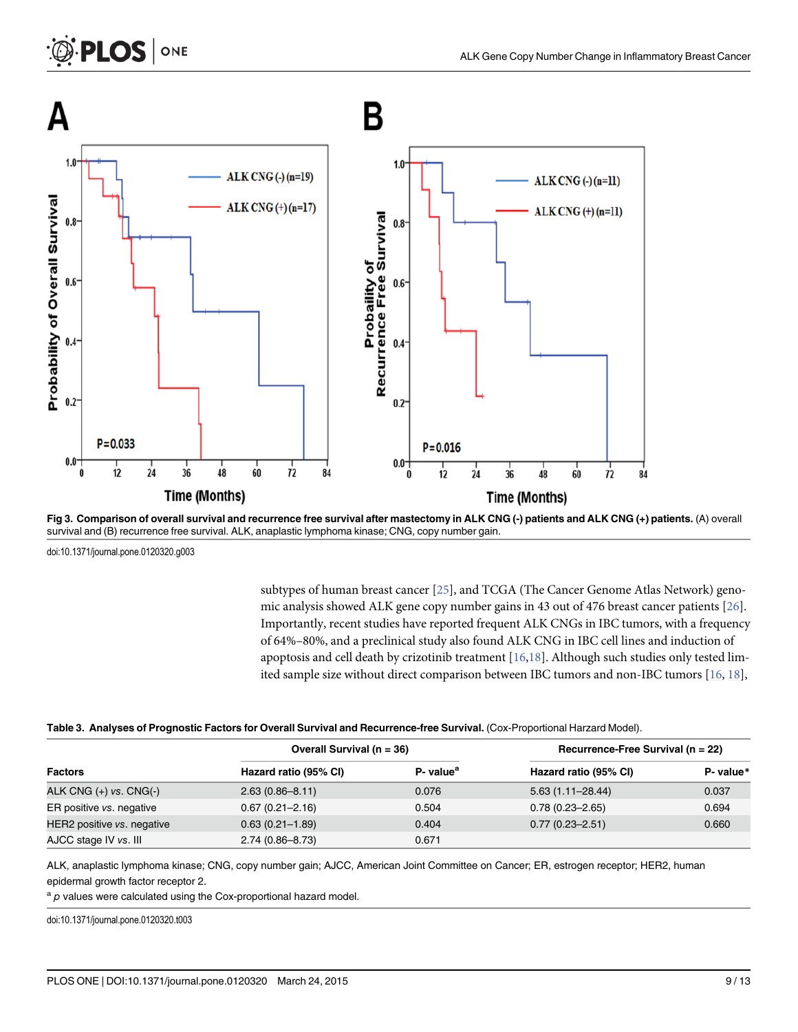<span id="page-8-0"></span>

[Fig 3. C](#page-5-0)omparison of overall survival and recurrence free survival after mastectomy in ALK CNG (-) patients and ALK CNG (+) patients. (A) overall survival and (B) recurrence free survival. ALK, anaplastic lymphoma kinase; CNG, copy number gain.

doi:10.1371/journal.pone.0120320.g003

subtypes of human breast cancer [\[25\]](#page-12-0), and TCGA (The Cancer Genome Atlas Network) genomic analysis showed ALK gene copy number gains in 43 out of 476 breast cancer patients [[26](#page-12-0)]. Importantly, recent studies have reported frequent ALK CNGs in IBC tumors, with a frequency of 64%–80%, and a preclinical study also found ALK CNG in IBC cell lines and induction of apoptosis and cell death by crizotinib treatment [[16](#page-11-0),[18](#page-11-0)]. Although such studies only tested limited sample size without direct comparison between IBC tumors and non-IBC tumors  $[16, 18]$  $[16, 18]$  $[16, 18]$  $[16, 18]$  $[16, 18]$ ,

#### [Table 3.](#page-5-0) Analyses of Prognostic Factors for Overall Survival and Recurrence-free Survival. (Cox-Proportional Harzard Model).

|                             | Overall Survival (n = 36) |                       | Recurrence-Free Survival (n = 22) |           |  |
|-----------------------------|---------------------------|-----------------------|-----------------------------------|-----------|--|
| <b>Factors</b>              | Hazard ratio (95% CI)     | P- value <sup>a</sup> | Hazard ratio (95% CI)             | P- value* |  |
| ALK CNG $(+)$ vs. CNG $(-)$ | $2.63(0.86 - 8.11)$       | 0.076                 | 5.63 (1.11–28.44)                 | 0.037     |  |
| ER positive vs. negative    | $0.67(0.21 - 2.16)$       | 0.504                 | $0.78(0.23 - 2.65)$               | 0.694     |  |
| HER2 positive vs. negative  | $0.63(0.21 - 1.89)$       | 0.404                 | $0.77(0.23 - 2.51)$               | 0.660     |  |
| AJCC stage IV vs. III       | $2.74(0.86 - 8.73)$       | 0.671                 |                                   |           |  |

ALK, anaplastic lymphoma kinase; CNG, copy number gain; AJCC, American Joint Committee on Cancer; ER, estrogen receptor; HER2, human epidermal growth factor receptor 2.

 $a$   $p$  values were calculated using the Cox-proportional hazard model.

doi:10.1371/journal.pone.0120320.t003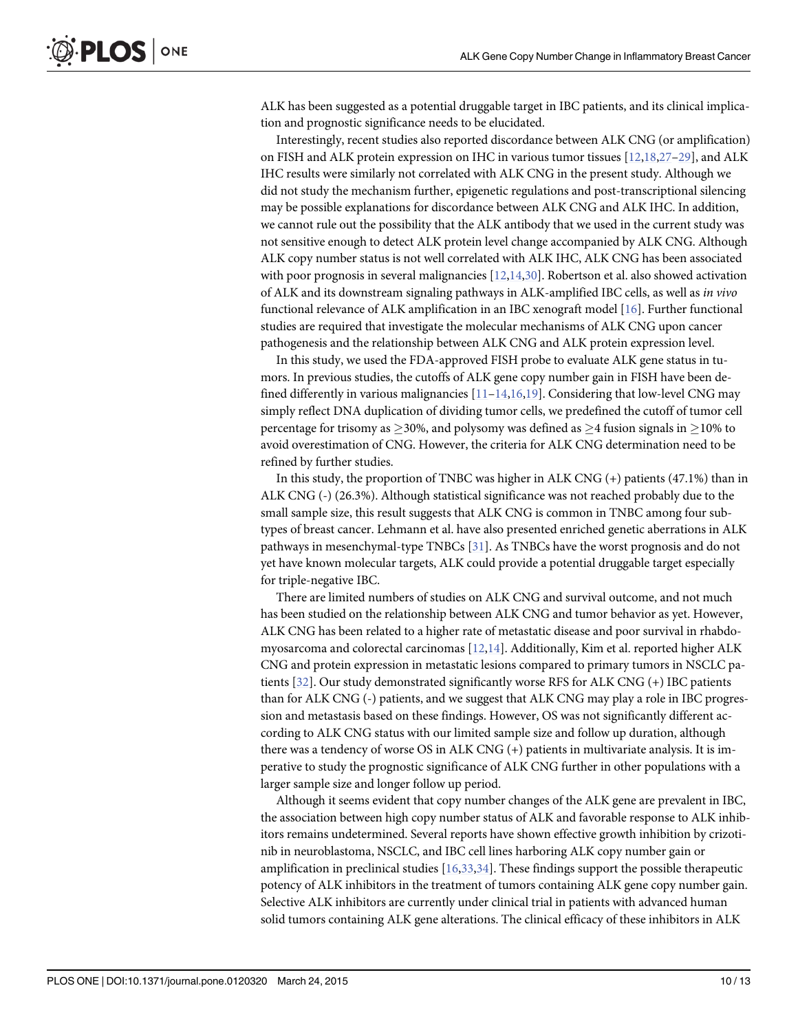<span id="page-9-0"></span>ALK has been suggested as a potential druggable target in IBC patients, and its clinical implication and prognostic significance needs to be elucidated.

Interestingly, recent studies also reported discordance between ALK CNG (or amplification) on FISH and ALK protein expression on IHC in various tumor tissues [\[12,18,](#page-11-0)[27](#page-12-0)–[29](#page-12-0)], and ALK IHC results were similarly not correlated with ALK CNG in the present study. Although we did not study the mechanism further, epigenetic regulations and post-transcriptional silencing may be possible explanations for discordance between ALK CNG and ALK IHC. In addition, we cannot rule out the possibility that the ALK antibody that we used in the current study was not sensitive enough to detect ALK protein level change accompanied by ALK CNG. Although ALK copy number status is not well correlated with ALK IHC, ALK CNG has been associated with poor prognosis in several malignancies [\[12,14,](#page-11-0)[30](#page-12-0)]. Robertson et al. also showed activation of ALK and its downstream signaling pathways in ALK-amplified IBC cells, as well as in vivo functional relevance of ALK amplification in an IBC xenograft model [[16](#page-11-0)]. Further functional studies are required that investigate the molecular mechanisms of ALK CNG upon cancer pathogenesis and the relationship between ALK CNG and ALK protein expression level.

In this study, we used the FDA-approved FISH probe to evaluate ALK gene status in tumors. In previous studies, the cutoffs of ALK gene copy number gain in FISH have been defined differently in various malignancies  $[11-14,16,19]$  $[11-14,16,19]$  $[11-14,16,19]$  $[11-14,16,19]$  $[11-14,16,19]$ . Considering that low-level CNG may simply reflect DNA duplication of dividing tumor cells, we predefined the cutoff of tumor cell percentage for trisomy as  $\geq$ 30%, and polysomy was defined as  $\geq$ 4 fusion signals in  $\geq$ 10% to avoid overestimation of CNG. However, the criteria for ALK CNG determination need to be refined by further studies.

In this study, the proportion of TNBC was higher in ALK CNG (+) patients (47.1%) than in ALK CNG (-) (26.3%). Although statistical significance was not reached probably due to the small sample size, this result suggests that ALK CNG is common in TNBC among four subtypes of breast cancer. Lehmann et al. have also presented enriched genetic aberrations in ALK pathways in mesenchymal-type TNBCs [\[31\]](#page-12-0). As TNBCs have the worst prognosis and do not yet have known molecular targets, ALK could provide a potential druggable target especially for triple-negative IBC.

There are limited numbers of studies on ALK CNG and survival outcome, and not much has been studied on the relationship between ALK CNG and tumor behavior as yet. However, ALK CNG has been related to a higher rate of metastatic disease and poor survival in rhabdomyosarcoma and colorectal carcinomas  $[12,14]$ . Additionally, Kim et al. reported higher ALK CNG and protein expression in metastatic lesions compared to primary tumors in NSCLC patients [[32](#page-12-0)]. Our study demonstrated significantly worse RFS for ALK CNG (+) IBC patients than for ALK CNG (-) patients, and we suggest that ALK CNG may play a role in IBC progression and metastasis based on these findings. However, OS was not significantly different according to ALK CNG status with our limited sample size and follow up duration, although there was a tendency of worse OS in ALK CNG (+) patients in multivariate analysis. It is imperative to study the prognostic significance of ALK CNG further in other populations with a larger sample size and longer follow up period.

Although it seems evident that copy number changes of the ALK gene are prevalent in IBC, the association between high copy number status of ALK and favorable response to ALK inhibitors remains undetermined. Several reports have shown effective growth inhibition by crizotinib in neuroblastoma, NSCLC, and IBC cell lines harboring ALK copy number gain or amplification in preclinical studies [\[16,](#page-11-0)[33,34](#page-12-0)]. These findings support the possible therapeutic potency of ALK inhibitors in the treatment of tumors containing ALK gene copy number gain. Selective ALK inhibitors are currently under clinical trial in patients with advanced human solid tumors containing ALK gene alterations. The clinical efficacy of these inhibitors in ALK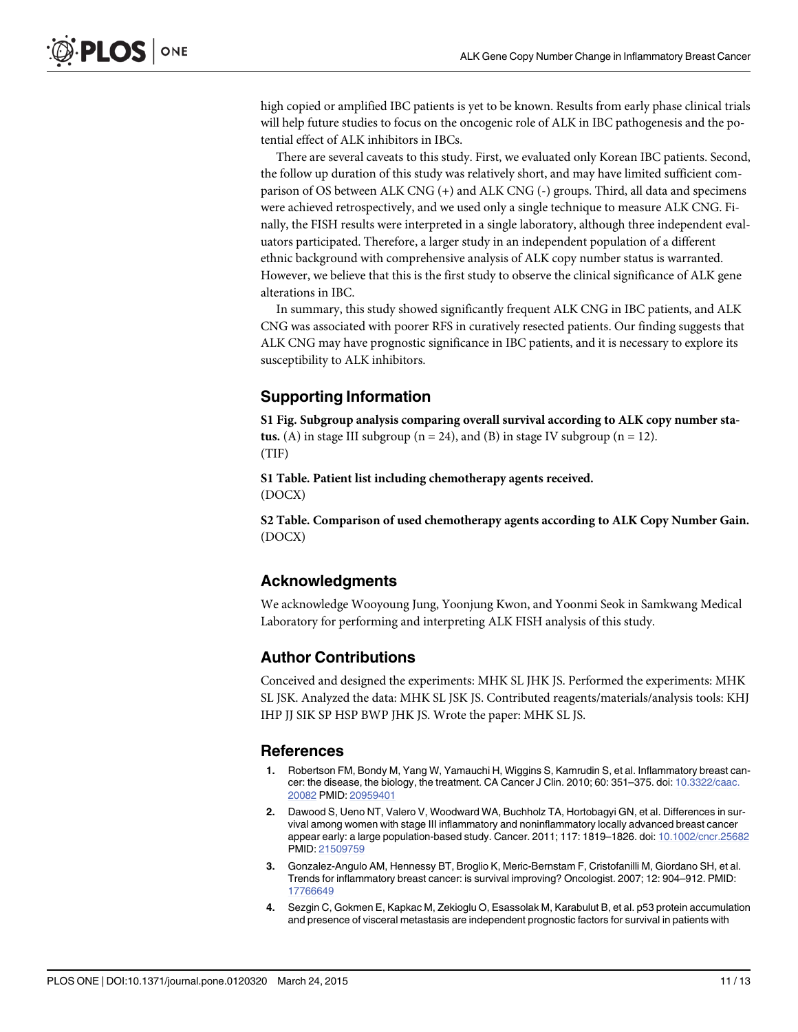<span id="page-10-0"></span>high copied or amplified IBC patients is yet to be known. Results from early phase clinical trials will help future studies to focus on the oncogenic role of ALK in IBC pathogenesis and the potential effect of ALK inhibitors in IBCs.

There are several caveats to this study. First, we evaluated only Korean IBC patients. Second, the follow up duration of this study was relatively short, and may have limited sufficient comparison of OS between ALK CNG (+) and ALK CNG (-) groups. Third, all data and specimens were achieved retrospectively, and we used only a single technique to measure ALK CNG. Finally, the FISH results were interpreted in a single laboratory, although three independent evaluators participated. Therefore, a larger study in an independent population of a different ethnic background with comprehensive analysis of ALK copy number status is warranted. However, we believe that this is the first study to observe the clinical significance of ALK gene alterations in IBC.

In summary, this study showed significantly frequent ALK CNG in IBC patients, and ALK CNG was associated with poorer RFS in curatively resected patients. Our finding suggests that ALK CNG may have prognostic significance in IBC patients, and it is necessary to explore its susceptibility to ALK inhibitors.

#### Supporting Information

[S1 Fig.](http://www.plosone.org/article/fetchSingleRepresentation.action?uri=info:doi/10.1371/journal.pone.0120320.s001) Subgroup analysis comparing overall survival according to ALK copy number status. (A) in stage III subgroup ( $n = 24$ ), and (B) in stage IV subgroup ( $n = 12$ ). (TIF)

[S1 Table](http://www.plosone.org/article/fetchSingleRepresentation.action?uri=info:doi/10.1371/journal.pone.0120320.s002). Patient list including chemotherapy agents received. (DOCX)

[S2 Table](http://www.plosone.org/article/fetchSingleRepresentation.action?uri=info:doi/10.1371/journal.pone.0120320.s003). Comparison of used chemotherapy agents according to ALK Copy Number Gain. (DOCX)

#### Acknowledgments

We acknowledge Wooyoung Jung, Yoonjung Kwon, and Yoonmi Seok in Samkwang Medical Laboratory for performing and interpreting ALK FISH analysis of this study.

#### Author Contributions

Conceived and designed the experiments: MHK SL JHK JS. Performed the experiments: MHK SL JSK. Analyzed the data: MHK SL JSK JS. Contributed reagents/materials/analysis tools: KHJ IHP JJ SIK SP HSP BWP JHK JS. Wrote the paper: MHK SL JS.

#### **References**

- [1.](#page-1-0) Robertson FM, Bondy M, Yang W, Yamauchi H, Wiggins S, Kamrudin S, et al. Inflammatory breast can-cer: the disease, the biology, the treatment. CA Cancer J Clin. 2010; 60: 351-375. doi: [10.3322/caac.](http://dx.doi.org/10.3322/caac.20082) [20082](http://dx.doi.org/10.3322/caac.20082) PMID: [20959401](http://www.ncbi.nlm.nih.gov/pubmed/20959401)
- [2.](#page-1-0) Dawood S, Ueno NT, Valero V, Woodward WA, Buchholz TA, Hortobagyi GN, et al. Differences in survival among women with stage III inflammatory and noninflammatory locally advanced breast cancer appear early: a large population-based study. Cancer. 2011; 117: 1819-1826. doi: [10.1002/cncr.25682](http://dx.doi.org/10.1002/cncr.25682) PMID: [21509759](http://www.ncbi.nlm.nih.gov/pubmed/21509759)
- [3.](#page-1-0) Gonzalez-Angulo AM, Hennessy BT, Broglio K, Meric-Bernstam F, Cristofanilli M, Giordano SH, et al. Trends for inflammatory breast cancer: is survival improving? Oncologist. 2007; 12: 904–912. PMID: [17766649](http://www.ncbi.nlm.nih.gov/pubmed/17766649)
- [4.](#page-1-0) Sezgin C, Gokmen E, Kapkac M, Zekioglu O, Esassolak M, Karabulut B, et al. p53 protein accumulation and presence of visceral metastasis are independent prognostic factors for survival in patients with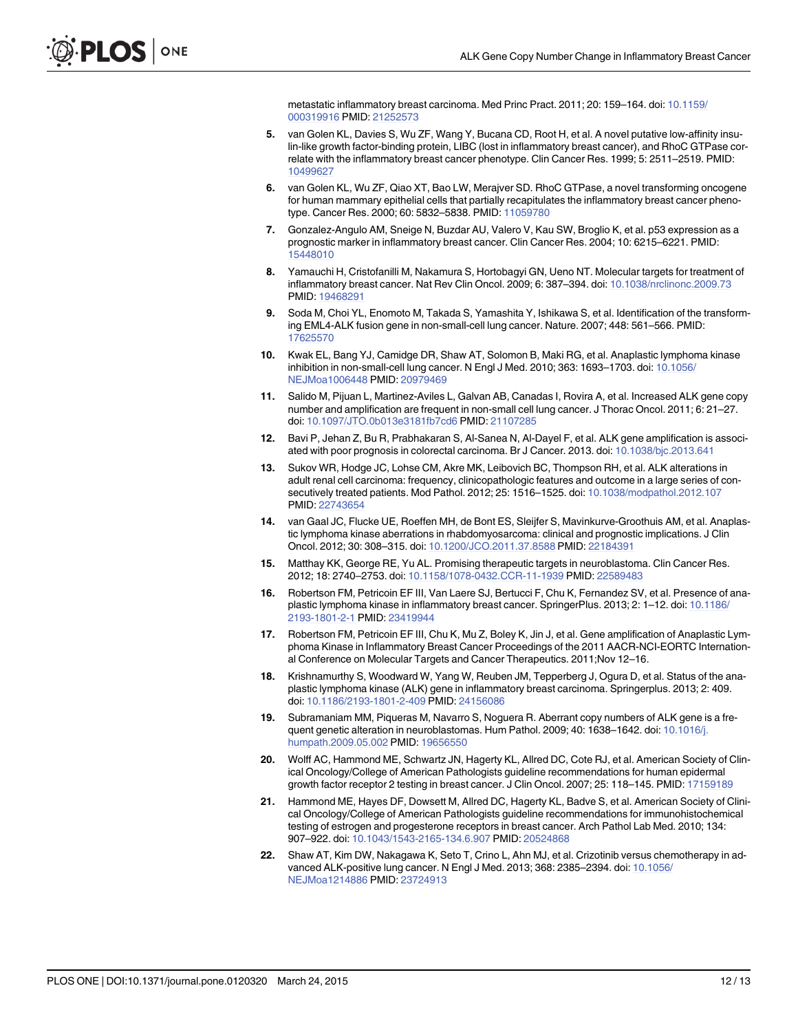metastatic inflammatory breast carcinoma. Med Princ Pract. 2011; 20: 159-164. doi: [10.1159/](http://dx.doi.org/10.1159/000319916) [000319916](http://dx.doi.org/10.1159/000319916) PMID: [21252573](http://www.ncbi.nlm.nih.gov/pubmed/21252573)

- <span id="page-11-0"></span>5. van Golen KL, Davies S, Wu ZF, Wang Y, Bucana CD, Root H, et al. A novel putative low-affinity insulin-like growth factor-binding protein, LIBC (lost in inflammatory breast cancer), and RhoC GTPase correlate with the inflammatory breast cancer phenotype. Clin Cancer Res. 1999; 5: 2511–2519. PMID: [10499627](http://www.ncbi.nlm.nih.gov/pubmed/10499627)
- 6. van Golen KL, Wu ZF, Qiao XT, Bao LW, Merajver SD. RhoC GTPase, a novel transforming oncogene for human mammary epithelial cells that partially recapitulates the inflammatory breast cancer phenotype. Cancer Res. 2000; 60: 5832–5838. PMID: [11059780](http://www.ncbi.nlm.nih.gov/pubmed/11059780)
- [7.](#page-1-0) Gonzalez-Angulo AM, Sneige N, Buzdar AU, Valero V, Kau SW, Broglio K, et al. p53 expression as a prognostic marker in inflammatory breast cancer. Clin Cancer Res. 2004; 10: 6215–6221. PMID: [15448010](http://www.ncbi.nlm.nih.gov/pubmed/15448010)
- [8.](#page-1-0) Yamauchi H, Cristofanilli M, Nakamura S, Hortobagyi GN, Ueno NT. Molecular targets for treatment of inflammatory breast cancer. Nat Rev Clin Oncol. 2009; 6: 387-394. doi: [10.1038/nrclinonc.2009.73](http://dx.doi.org/10.1038/nrclinonc.2009.73) PMID: [19468291](http://www.ncbi.nlm.nih.gov/pubmed/19468291)
- [9.](#page-1-0) Soda M, Choi YL, Enomoto M, Takada S, Yamashita Y, Ishikawa S, et al. Identification of the transforming EML4-ALK fusion gene in non-small-cell lung cancer. Nature. 2007; 448: 561–566. PMID: [17625570](http://www.ncbi.nlm.nih.gov/pubmed/17625570)
- [10.](#page-1-0) Kwak EL, Bang YJ, Camidge DR, Shaw AT, Solomon B, Maki RG, et al. Anaplastic lymphoma kinase inhibition in non-small-cell lung cancer. N Engl J Med. 2010; 363: 1693–1703. doi: [10.1056/](http://dx.doi.org/10.1056/NEJMoa1006448) [NEJMoa1006448](http://dx.doi.org/10.1056/NEJMoa1006448) PMID: [20979469](http://www.ncbi.nlm.nih.gov/pubmed/20979469)
- [11.](#page-1-0) Salido M, Pijuan L, Martinez-Aviles L, Galvan AB, Canadas I, Rovira A, et al. Increased ALK gene copy number and amplification are frequent in non-small cell lung cancer. J Thorac Oncol. 2011; 6: 21–27. doi: [10.1097/JTO.0b013e3181fb7cd6](http://dx.doi.org/10.1097/JTO.0b013e3181fb7cd6) PMID: [21107285](http://www.ncbi.nlm.nih.gov/pubmed/21107285)
- [12.](#page-1-0) Bavi P, Jehan Z, Bu R, Prabhakaran S, Al-Sanea N, Al-Dayel F, et al. ALK gene amplification is associated with poor prognosis in colorectal carcinoma. Br J Cancer. 2013. doi: [10.1038/bjc.2013.641](http://dx.doi.org/10.1038/bjc.2013.641)
- [13.](#page-1-0) Sukov WR, Hodge JC, Lohse CM, Akre MK, Leibovich BC, Thompson RH, et al. ALK alterations in adult renal cell carcinoma: frequency, clinicopathologic features and outcome in a large series of consecutively treated patients. Mod Pathol. 2012; 25: 1516–1525. doi: [10.1038/modpathol.2012.107](http://dx.doi.org/10.1038/modpathol.2012.107) PMID: [22743654](http://www.ncbi.nlm.nih.gov/pubmed/22743654)
- [14.](#page-1-0) van Gaal JC, Flucke UE, Roeffen MH, de Bont ES, Sleijfer S, Mavinkurve-Groothuis AM, et al. Anaplastic lymphoma kinase aberrations in rhabdomyosarcoma: clinical and prognostic implications. J Clin Oncol. 2012; 30: 308–315. doi: [10.1200/JCO.2011.37.8588](http://dx.doi.org/10.1200/JCO.2011.37.8588) PMID: [22184391](http://www.ncbi.nlm.nih.gov/pubmed/22184391)
- [15.](#page-1-0) Matthay KK, George RE, Yu AL. Promising therapeutic targets in neuroblastoma. Clin Cancer Res. 2012; 18: 2740–2753. doi: [10.1158/1078-0432.CCR-11-1939](http://dx.doi.org/10.1158/1078-0432.CCR-11-1939) PMID: [22589483](http://www.ncbi.nlm.nih.gov/pubmed/22589483)
- [16.](#page-1-0) Robertson FM, Petricoin EF III, Van Laere SJ, Bertucci F, Chu K, Fernandez SV, et al. Presence of anaplastic lymphoma kinase in inflammatory breast cancer. SpringerPlus. 2013; 2: 1–12. doi: [10.1186/](http://dx.doi.org/10.1186/2193-1801-2-1) [2193-1801-2-1](http://dx.doi.org/10.1186/2193-1801-2-1) PMID: [23419944](http://www.ncbi.nlm.nih.gov/pubmed/23419944)
- 17. Robertson FM, Petricoin EF III, Chu K, Mu Z, Boley K, Jin J, et al. Gene amplification of Anaplastic Lymphoma Kinase in Inflammatory Breast Cancer Proceedings of the 2011 AACR-NCI-EORTC International Conference on Molecular Targets and Cancer Therapeutics. 2011;Nov 12–16.
- [18.](#page-1-0) Krishnamurthy S, Woodward W, Yang W, Reuben JM, Tepperberg J, Ogura D, et al. Status of the anaplastic lymphoma kinase (ALK) gene in inflammatory breast carcinoma. Springerplus. 2013; 2: 409. doi: [10.1186/2193-1801-2-409](http://dx.doi.org/10.1186/2193-1801-2-409) PMID: [24156086](http://www.ncbi.nlm.nih.gov/pubmed/24156086)
- [19.](#page-2-0) Subramaniam MM, Piqueras M, Navarro S, Noguera R. Aberrant copy numbers of ALK gene is a frequent genetic alteration in neuroblastomas. Hum Pathol. 2009; 40: 1638–1642. doi: [10.1016/j.](http://dx.doi.org/10.1016/j.humpath.2009.05.002) [humpath.2009.05.002](http://dx.doi.org/10.1016/j.humpath.2009.05.002) PMID: [19656550](http://www.ncbi.nlm.nih.gov/pubmed/19656550)
- [20.](#page-3-0) Wolff AC, Hammond ME, Schwartz JN, Hagerty KL, Allred DC, Cote RJ, et al. American Society of Clinical Oncology/College of American Pathologists guideline recommendations for human epidermal growth factor receptor 2 testing in breast cancer. J Clin Oncol. 2007; 25: 118–145. PMID: [17159189](http://www.ncbi.nlm.nih.gov/pubmed/17159189)
- [21.](#page-3-0) Hammond ME, Hayes DF, Dowsett M, Allred DC, Hagerty KL, Badve S, et al. American Society of Clinical Oncology/College of American Pathologists guideline recommendations for immunohistochemical testing of estrogen and progesterone receptors in breast cancer. Arch Pathol Lab Med. 2010; 134: 907–922. doi: [10.1043/1543-2165-134.6.907](http://dx.doi.org/10.1043/1543-2165-134.6.907) PMID: [20524868](http://www.ncbi.nlm.nih.gov/pubmed/20524868)
- [22.](#page-5-0) Shaw AT, Kim DW, Nakagawa K, Seto T, Crino L, Ahn MJ, et al. Crizotinib versus chemotherapy in advanced ALK-positive lung cancer. N Engl J Med. 2013; 368: 2385–2394. doi: [10.1056/](http://dx.doi.org/10.1056/NEJMoa1214886) [NEJMoa1214886](http://dx.doi.org/10.1056/NEJMoa1214886) PMID: [23724913](http://www.ncbi.nlm.nih.gov/pubmed/23724913)